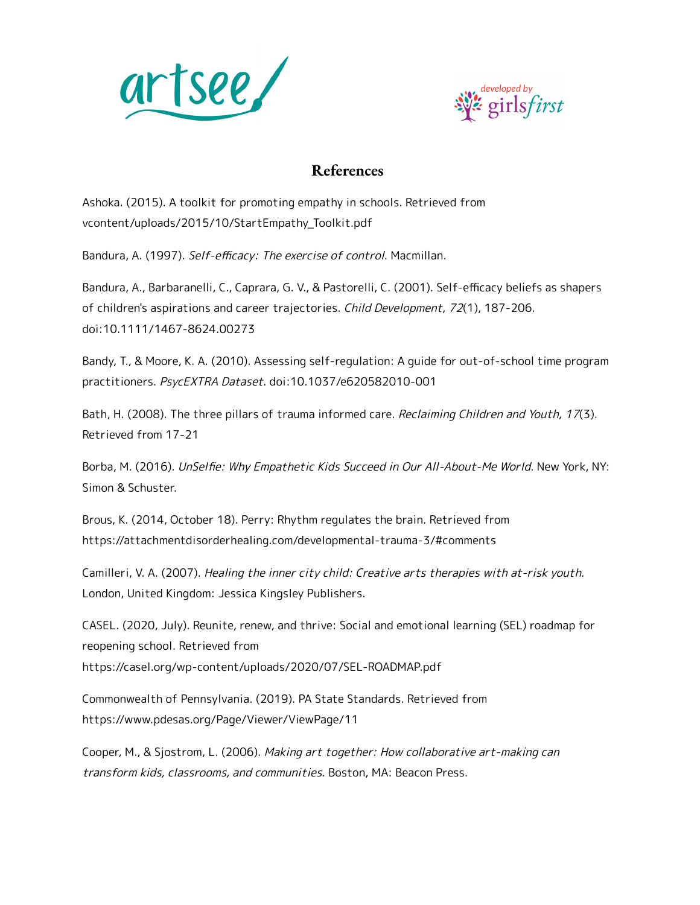



## **References**

Ashoka. (2015). A toolkit for promoting empathy in schools. Retrieved from vcontent/uploads/2015/10/StartEmpathy\_Toolkit.pdf

Bandura, A. (1997). Self-efficacy: The exercise of control. Macmillan.

Bandura, A., Barbaranelli, C., Caprara, G. V., & Pastorelli, C. (2001). Self-efficacy beliefs as shapers of children's aspirations and career trajectories. Child Development, 72(1), 187-206. doi:10.1111/1467-8624.00273

Bandy, T., & Moore, K. A. (2010). Assessing self-regulation: A guide for out-of-school time program practitioners. PsycEXTRA Dataset. doi:10.1037/e620582010-001

Bath, H. (2008). The three pillars of trauma informed care. Reclaiming Children and Youth, 17(3). Retrieved from 17-21

Borba, M. (2016). UnSelfie: Why Empathetic Kids Succeed in Our All-About-Me World. New York, NY: Simon & Schuster.

Brous, K. (2014, October 18). Perry: Rhythm regulates the brain. Retrieved from https://attachmentdisorderhealing.com/developmental-trauma-3/#comments

Camilleri, V. A. (2007). Healing the inner city child: Creative arts therapies with at-risk youth. London, United Kingdom: Jessica Kingsley Publishers.

CASEL. (2020, July). Reunite, renew, and thrive: Social and emotional learning (SEL) roadmap for reopening school. Retrieved from https://casel.org/wp-content/uploads/2020/07/SEL-ROADMAP.pdf

Commonwealth of Pennsylvania. (2019). PA State Standards. Retrieved from https://www.pdesas.org/Page/Viewer/ViewPage/11

Cooper, M., & Sjostrom, L. (2006). Making art together: How collaborative art-making can transform kids, classrooms, and communities. Boston, MA: Beacon Press.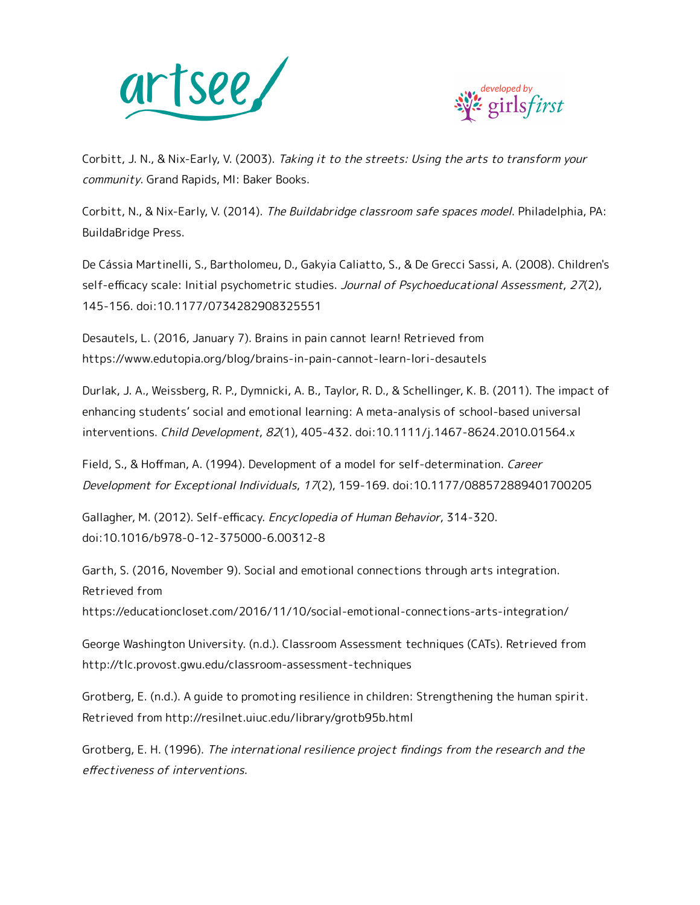



Corbitt, J. N., & Nix-Early, V. (2003). Taking it to the streets: Using the arts to transform your community. Grand Rapids, MI: Baker Books.

Corbitt, N., & Nix-Early, V. (2014). The Buildabridge classroom safe spaces model. Philadelphia, PA: BuildaBridge Press.

De Cássia Martinelli, S., Bartholomeu, D., Gakyia Caliatto, S., & De Grecci Sassi, A. (2008). Children's self-efficacy scale: Initial psychometric studies. Journal of Psychoeducational Assessment, 27(2), 145-156. doi:10.1177/0734282908325551

Desautels, L. (2016, January 7). Brains in pain cannot learn! Retrieved from https://www.edutopia.org/blog/brains-in-pain-cannot-learn-lori-desautels

Durlak, J. A., Weissberg, R. P., Dymnicki, A. B., Taylor, R. D., & Schellinger, K. B. (2011). The impact of enhancing students' social and emotional learning: A meta-analysis of school-based universal interventions. Child Development, 82(1), 405-432. doi:10.1111/j.1467-8624.2010.01564.x

Field, S., & Hoffman, A. (1994). Development of a model for self-determination. Career Development for Exceptional Individuals, 17(2), 159-169. doi:10.1177/088572889401700205

Gallagher, M. (2012). Self-efficacy. Encyclopedia of Human Behavior, 314-320. doi:10.1016/b978-0-12-375000-6.00312-8

Garth, S. (2016, November 9). Social and emotional connections through arts integration. Retrieved from

https://educationcloset.com/2016/11/10/social-emotional-connections-arts-integration/

George Washington University. (n.d.). Classroom Assessment techniques (CATs). Retrieved from http://tlc.provost.gwu.edu/classroom-assessment-techniques

Grotberg, E. (n.d.). A guide to promoting resilience in children: Strengthening the human spirit. Retrieved from http://resilnet.uiuc.edu/library/grotb95b.html

Grotberg, E. H. (1996). The international resilience project findings from the research and the effectiveness of interventions.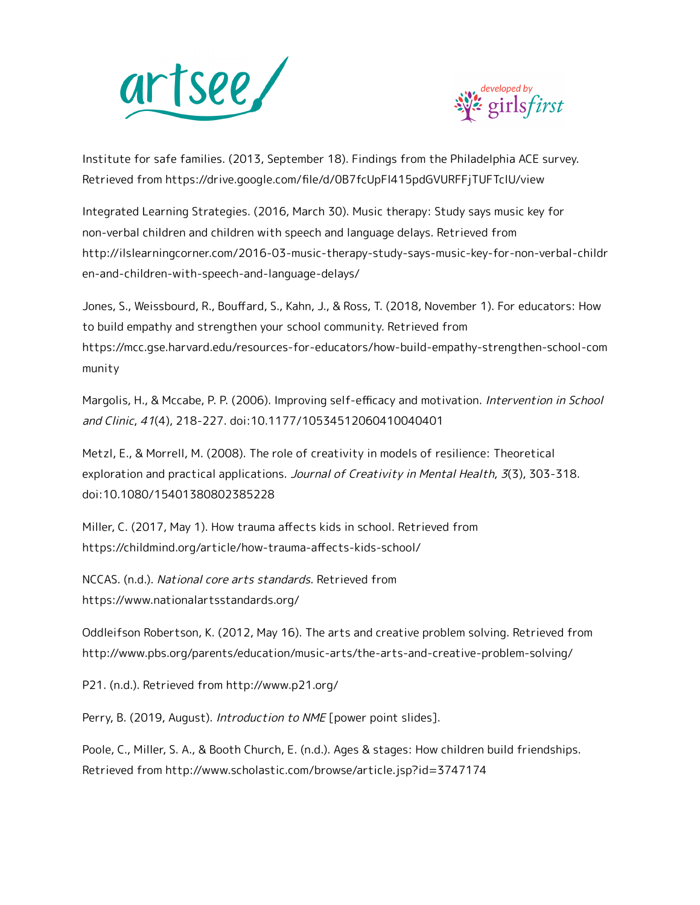



Institute for safe families. (2013, September 18). Findings from the Philadelphia ACE survey. Retrieved from https://drive.google.com/file/d/0B7fcUpFl415pdGVURFFjTUFTclU/view

Integrated Learning Strategies. (2016, March 30). Music therapy: Study says music key for non-verbal children and children with speech and language delays. Retrieved from http://ilslearningcorner.com/2016-03-music-therapy-study-says-music-key-for-non-verbal-childr en-and-children-with-speech-and-language-delays/

Jones, S., Weissbourd, R., Bouffard, S., Kahn, J., & Ross, T. (2018, November 1). For educators: How to build empathy and strengthen your school community. Retrieved from https://mcc.gse.harvard.edu/resources-for-educators/how-build-empathy-strengthen-school-com munity

Margolis, H., & Mccabe, P. P. (2006). Improving self-efficacy and motivation. Intervention in School and Clinic, 41(4), 218-227. doi:10.1177/10534512060410040401

Metzl, E., & Morrell, M. (2008). The role of creativity in models of resilience: Theoretical exploration and practical applications. Journal of Creativity in Mental Health, 3(3), 303-318. doi:10.1080/15401380802385228

Miller, C. (2017, May 1). How trauma affects kids in school. Retrieved from https://childmind.org/article/how-trauma-affects-kids-school/

NCCAS. (n.d.). National core arts standards. Retrieved from https://www.nationalartsstandards.org/

Oddleifson Robertson, K. (2012, May 16). The arts and creative problem solving. Retrieved from http://www.pbs.org/parents/education/music-arts/the-arts-and-creative-problem-solving/

P21. (n.d.). Retrieved from http://www.p21.org/

Perry, B. (2019, August). *Introduction to NME* [power point slides].

Poole, C., Miller, S. A., & Booth Church, E. (n.d.). Ages & stages: How children build friendships. Retrieved from http://www.scholastic.com/browse/article.jsp?id=3747174